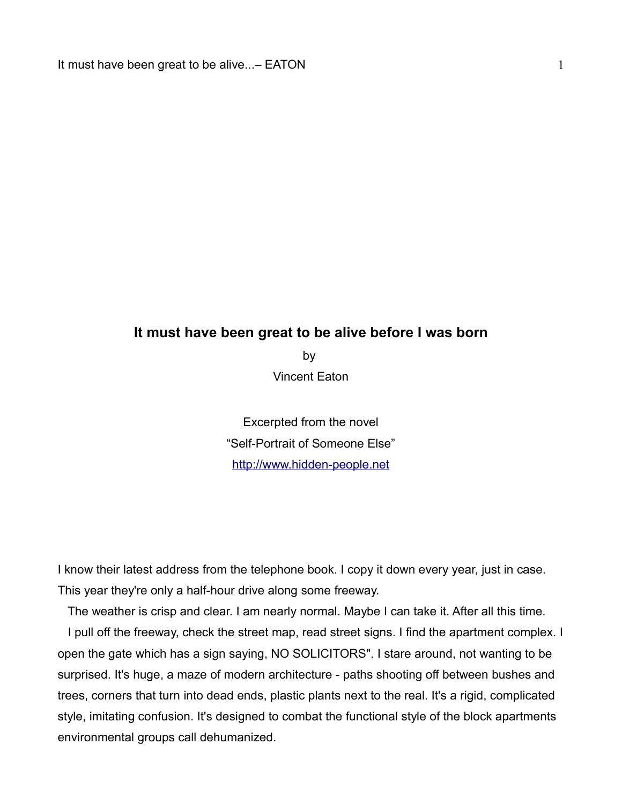## **It must have been great to be alive before I was born**

by Vincent Eaton

Excerpted from the novel "Self-Portrait of Someone Else" [http://www.hidden-people.net](http://www.hidden-people.net/)

I know their latest address from the telephone book. I copy it down every year, just in case. This year they're only a half-hour drive along some freeway.

The weather is crisp and clear. I am nearly normal. Maybe I can take it. After all this time.

 I pull off the freeway, check the street map, read street signs. I find the apartment complex. I open the gate which has a sign saying, NO SOLICITORS". I stare around, not wanting to be surprised. It's huge, a maze of modern architecture - paths shooting off between bushes and trees, corners that turn into dead ends, plastic plants next to the real. It's a rigid, complicated style, imitating confusion. It's designed to combat the functional style of the block apartments environmental groups call dehumanized.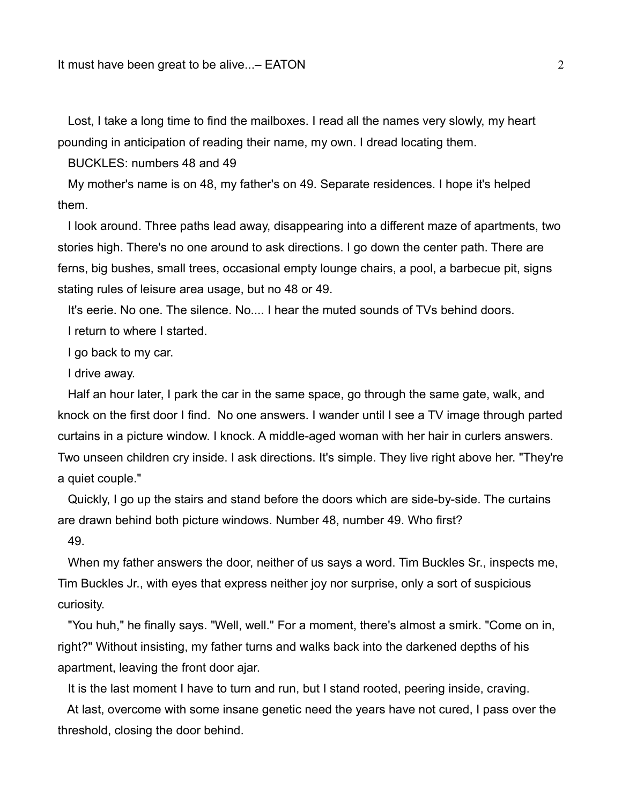Lost, I take a long time to find the mailboxes. I read all the names very slowly, my heart pounding in anticipation of reading their name, my own. I dread locating them.

BUCKLES: numbers 48 and 49

 My mother's name is on 48, my father's on 49. Separate residences. I hope it's helped them.

 I look around. Three paths lead away, disappearing into a different maze of apartments, two stories high. There's no one around to ask directions. I go down the center path. There are ferns, big bushes, small trees, occasional empty lounge chairs, a pool, a barbecue pit, signs stating rules of leisure area usage, but no 48 or 49.

It's eerie. No one. The silence. No.... I hear the muted sounds of TVs behind doors.

I return to where I started.

I go back to my car.

I drive away.

 Half an hour later, I park the car in the same space, go through the same gate, walk, and knock on the first door I find. No one answers. I wander until I see a TV image through parted curtains in a picture window. I knock. A middle-aged woman with her hair in curlers answers. Two unseen children cry inside. I ask directions. It's simple. They live right above her. "They're a quiet couple."

 Quickly, I go up the stairs and stand before the doors which are side-by-side. The curtains are drawn behind both picture windows. Number 48, number 49. Who first?

49.

 When my father answers the door, neither of us says a word. Tim Buckles Sr., inspects me, Tim Buckles Jr., with eyes that express neither joy nor surprise, only a sort of suspicious curiosity.

 "You huh," he finally says. "Well, well." For a moment, there's almost a smirk. "Come on in, right?" Without insisting, my father turns and walks back into the darkened depths of his apartment, leaving the front door ajar.

It is the last moment I have to turn and run, but I stand rooted, peering inside, craving.

 At last, overcome with some insane genetic need the years have not cured, I pass over the threshold, closing the door behind.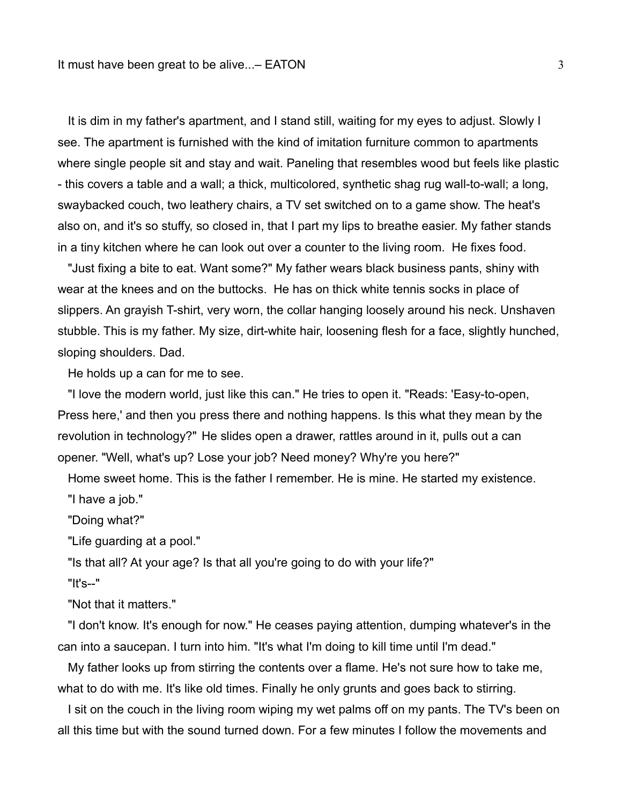It is dim in my father's apartment, and I stand still, waiting for my eyes to adjust. Slowly I see. The apartment is furnished with the kind of imitation furniture common to apartments where single people sit and stay and wait. Paneling that resembles wood but feels like plastic - this covers a table and a wall; a thick, multicolored, synthetic shag rug wall-to-wall; a long, swaybacked couch, two leathery chairs, a TV set switched on to a game show. The heat's also on, and it's so stuffy, so closed in, that I part my lips to breathe easier. My father stands in a tiny kitchen where he can look out over a counter to the living room. He fixes food.

 "Just fixing a bite to eat. Want some?" My father wears black business pants, shiny with wear at the knees and on the buttocks. He has on thick white tennis socks in place of slippers. An grayish T-shirt, very worn, the collar hanging loosely around his neck. Unshaven stubble. This is my father. My size, dirt-white hair, loosening flesh for a face, slightly hunched, sloping shoulders. Dad.

He holds up a can for me to see.

 "I love the modern world, just like this can." He tries to open it. "Reads: 'Easy-to-open, Press here,' and then you press there and nothing happens. Is this what they mean by the revolution in technology?" He slides open a drawer, rattles around in it, pulls out a can opener. "Well, what's up? Lose your job? Need money? Why're you here?"

 Home sweet home. This is the father I remember. He is mine. He started my existence. "I have a job."

"Doing what?"

"Life guarding at a pool."

"Is that all? At your age? Is that all you're going to do with your life?"

"It's--"

"Not that it matters."

 "I don't know. It's enough for now." He ceases paying attention, dumping whatever's in the can into a saucepan. I turn into him. "It's what I'm doing to kill time until I'm dead."

 My father looks up from stirring the contents over a flame. He's not sure how to take me, what to do with me. It's like old times. Finally he only grunts and goes back to stirring.

 I sit on the couch in the living room wiping my wet palms off on my pants. The TV's been on all this time but with the sound turned down. For a few minutes I follow the movements and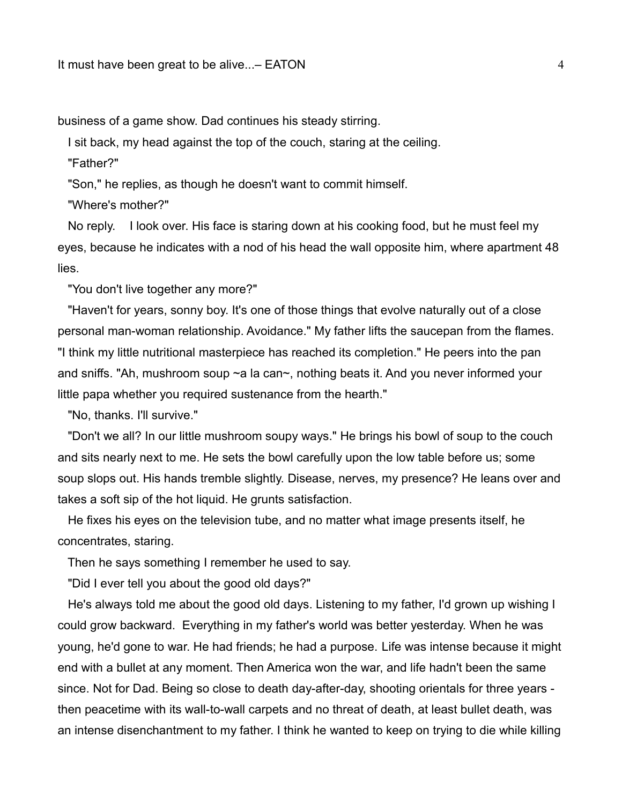business of a game show. Dad continues his steady stirring.

I sit back, my head against the top of the couch, staring at the ceiling.

"Father?"

"Son," he replies, as though he doesn't want to commit himself.

"Where's mother?"

 No reply. I look over. His face is staring down at his cooking food, but he must feel my eyes, because he indicates with a nod of his head the wall opposite him, where apartment 48 lies.

"You don't live together any more?"

 "Haven't for years, sonny boy. It's one of those things that evolve naturally out of a close personal man-woman relationship. Avoidance." My father lifts the saucepan from the flames. "I think my little nutritional masterpiece has reached its completion." He peers into the pan and sniffs. "Ah, mushroom soup ~a la can~, nothing beats it. And you never informed your little papa whether you required sustenance from the hearth."

"No, thanks. I'll survive."

 "Don't we all? In our little mushroom soupy ways." He brings his bowl of soup to the couch and sits nearly next to me. He sets the bowl carefully upon the low table before us; some soup slops out. His hands tremble slightly. Disease, nerves, my presence? He leans over and takes a soft sip of the hot liquid. He grunts satisfaction.

 He fixes his eyes on the television tube, and no matter what image presents itself, he concentrates, staring.

Then he says something I remember he used to say.

"Did I ever tell you about the good old days?"

 He's always told me about the good old days. Listening to my father, I'd grown up wishing I could grow backward. Everything in my father's world was better yesterday. When he was young, he'd gone to war. He had friends; he had a purpose. Life was intense because it might end with a bullet at any moment. Then America won the war, and life hadn't been the same since. Not for Dad. Being so close to death day-after-day, shooting orientals for three years then peacetime with its wall-to-wall carpets and no threat of death, at least bullet death, was an intense disenchantment to my father. I think he wanted to keep on trying to die while killing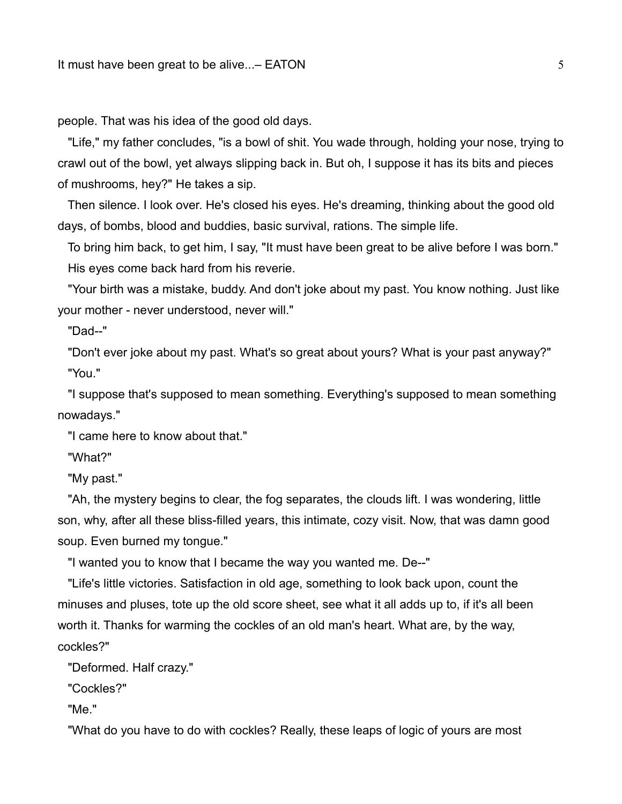people. That was his idea of the good old days.

 "Life," my father concludes, "is a bowl of shit. You wade through, holding your nose, trying to crawl out of the bowl, yet always slipping back in. But oh, I suppose it has its bits and pieces of mushrooms, hey?" He takes a sip.

 Then silence. I look over. He's closed his eyes. He's dreaming, thinking about the good old days, of bombs, blood and buddies, basic survival, rations. The simple life.

 To bring him back, to get him, I say, "It must have been great to be alive before I was born." His eyes come back hard from his reverie.

 "Your birth was a mistake, buddy. And don't joke about my past. You know nothing. Just like your mother - never understood, never will."

"Dad--"

 "Don't ever joke about my past. What's so great about yours? What is your past anyway?" "You."

 "I suppose that's supposed to mean something. Everything's supposed to mean something nowadays."

"I came here to know about that."

"What?"

"My past."

 "Ah, the mystery begins to clear, the fog separates, the clouds lift. I was wondering, little son, why, after all these bliss-filled years, this intimate, cozy visit. Now, that was damn good soup. Even burned my tongue."

"I wanted you to know that I became the way you wanted me. De--"

 "Life's little victories. Satisfaction in old age, something to look back upon, count the minuses and pluses, tote up the old score sheet, see what it all adds up to, if it's all been worth it. Thanks for warming the cockles of an old man's heart. What are, by the way, cockles?"

"Deformed. Half crazy."

"Cockles?"

"Me."

"What do you have to do with cockles? Really, these leaps of logic of yours are most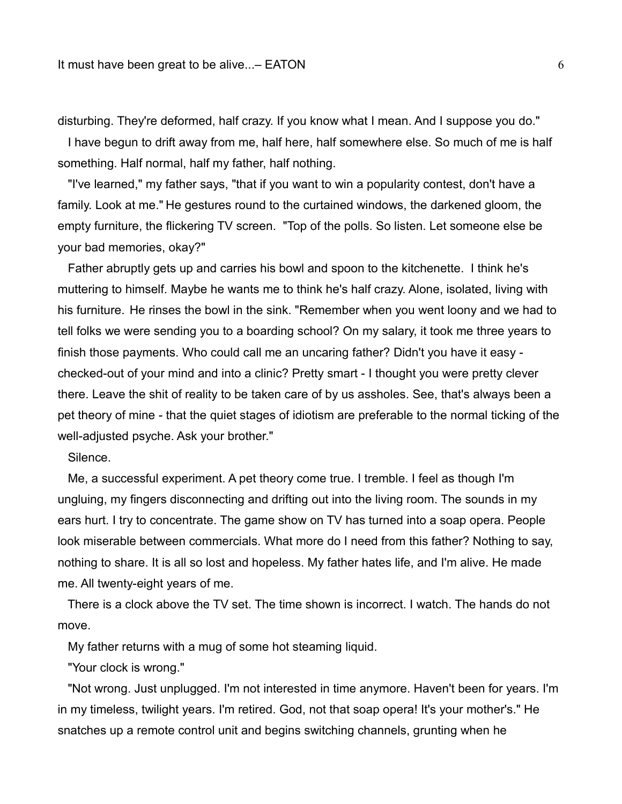disturbing. They're deformed, half crazy. If you know what I mean. And I suppose you do."

 I have begun to drift away from me, half here, half somewhere else. So much of me is half something. Half normal, half my father, half nothing.

 "I've learned," my father says, "that if you want to win a popularity contest, don't have a family. Look at me." He gestures round to the curtained windows, the darkened gloom, the empty furniture, the flickering TV screen. "Top of the polls. So listen. Let someone else be your bad memories, okay?"

 Father abruptly gets up and carries his bowl and spoon to the kitchenette. I think he's muttering to himself. Maybe he wants me to think he's half crazy. Alone, isolated, living with his furniture. He rinses the bowl in the sink. "Remember when you went loony and we had to tell folks we were sending you to a boarding school? On my salary, it took me three years to finish those payments. Who could call me an uncaring father? Didn't you have it easy checked-out of your mind and into a clinic? Pretty smart - I thought you were pretty clever there. Leave the shit of reality to be taken care of by us assholes. See, that's always been a pet theory of mine - that the quiet stages of idiotism are preferable to the normal ticking of the well-adjusted psyche. Ask your brother."

Silence.

 Me, a successful experiment. A pet theory come true. I tremble. I feel as though I'm ungluing, my fingers disconnecting and drifting out into the living room. The sounds in my ears hurt. I try to concentrate. The game show on TV has turned into a soap opera. People look miserable between commercials. What more do I need from this father? Nothing to say, nothing to share. It is all so lost and hopeless. My father hates life, and I'm alive. He made me. All twenty-eight years of me.

 There is a clock above the TV set. The time shown is incorrect. I watch. The hands do not move.

My father returns with a mug of some hot steaming liquid.

"Your clock is wrong."

 "Not wrong. Just unplugged. I'm not interested in time anymore. Haven't been for years. I'm in my timeless, twilight years. I'm retired. God, not that soap opera! It's your mother's." He snatches up a remote control unit and begins switching channels, grunting when he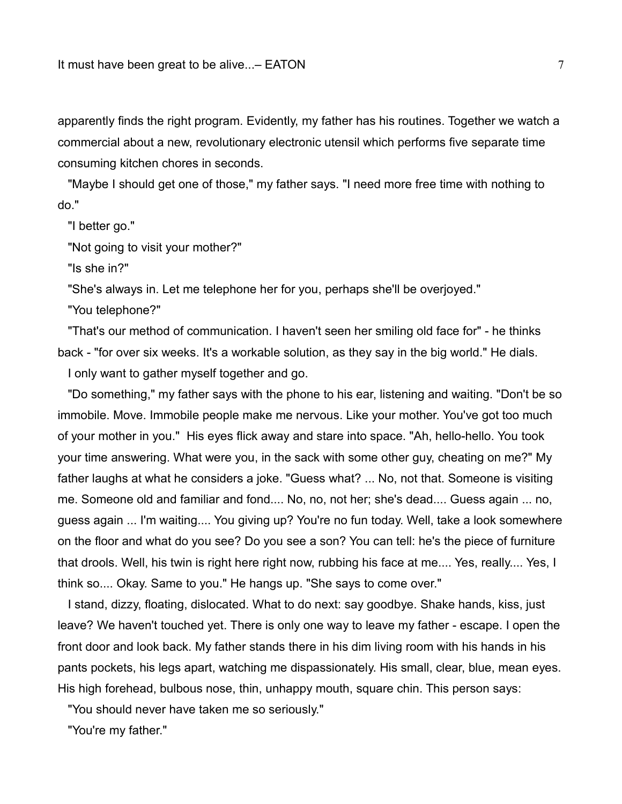apparently finds the right program. Evidently, my father has his routines. Together we watch a commercial about a new, revolutionary electronic utensil which performs five separate time consuming kitchen chores in seconds.

 "Maybe I should get one of those," my father says. "I need more free time with nothing to do."

"I better go."

"Not going to visit your mother?"

"Is she in?"

"She's always in. Let me telephone her for you, perhaps she'll be overjoyed."

"You telephone?"

 "That's our method of communication. I haven't seen her smiling old face for" - he thinks back - "for over six weeks. It's a workable solution, as they say in the big world." He dials.

I only want to gather myself together and go.

 "Do something," my father says with the phone to his ear, listening and waiting. "Don't be so immobile. Move. Immobile people make me nervous. Like your mother. You've got too much of your mother in you." His eyes flick away and stare into space. "Ah, hello-hello. You took your time answering. What were you, in the sack with some other guy, cheating on me?" My father laughs at what he considers a joke. "Guess what? ... No, not that. Someone is visiting me. Someone old and familiar and fond.... No, no, not her; she's dead.... Guess again ... no, guess again ... I'm waiting.... You giving up? You're no fun today. Well, take a look somewhere on the floor and what do you see? Do you see a son? You can tell: he's the piece of furniture that drools. Well, his twin is right here right now, rubbing his face at me.... Yes, really.... Yes, I think so.... Okay. Same to you." He hangs up. "She says to come over."

 I stand, dizzy, floating, dislocated. What to do next: say goodbye. Shake hands, kiss, just leave? We haven't touched yet. There is only one way to leave my father - escape. I open the front door and look back. My father stands there in his dim living room with his hands in his pants pockets, his legs apart, watching me dispassionately. His small, clear, blue, mean eyes. His high forehead, bulbous nose, thin, unhappy mouth, square chin. This person says:

"You should never have taken me so seriously."

"You're my father."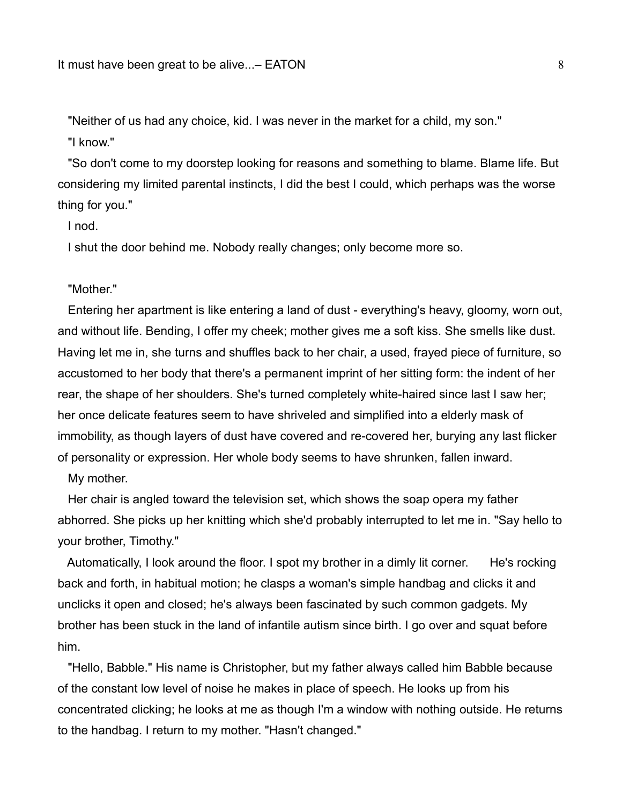"Neither of us had any choice, kid. I was never in the market for a child, my son." "I know."

 "So don't come to my doorstep looking for reasons and something to blame. Blame life. But considering my limited parental instincts, I did the best I could, which perhaps was the worse thing for you."

I nod.

I shut the door behind me. Nobody really changes; only become more so.

"Mother."

 Entering her apartment is like entering a land of dust - everything's heavy, gloomy, worn out, and without life. Bending, I offer my cheek; mother gives me a soft kiss. She smells like dust. Having let me in, she turns and shuffles back to her chair, a used, frayed piece of furniture, so accustomed to her body that there's a permanent imprint of her sitting form: the indent of her rear, the shape of her shoulders. She's turned completely white-haired since last I saw her; her once delicate features seem to have shriveled and simplified into a elderly mask of immobility, as though layers of dust have covered and re-covered her, burying any last flicker of personality or expression. Her whole body seems to have shrunken, fallen inward.

My mother.

 Her chair is angled toward the television set, which shows the soap opera my father abhorred. She picks up her knitting which she'd probably interrupted to let me in. "Say hello to your brother, Timothy."

 Automatically, I look around the floor. I spot my brother in a dimly lit corner. He's rocking back and forth, in habitual motion; he clasps a woman's simple handbag and clicks it and unclicks it open and closed; he's always been fascinated by such common gadgets. My brother has been stuck in the land of infantile autism since birth. I go over and squat before him.

 "Hello, Babble." His name is Christopher, but my father always called him Babble because of the constant low level of noise he makes in place of speech. He looks up from his concentrated clicking; he looks at me as though I'm a window with nothing outside. He returns to the handbag. I return to my mother. "Hasn't changed."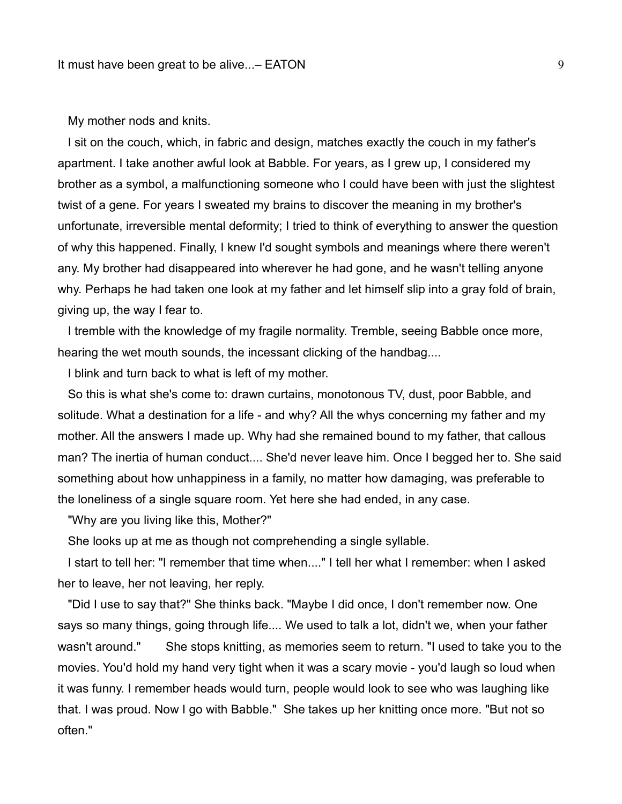## My mother nods and knits.

 I sit on the couch, which, in fabric and design, matches exactly the couch in my father's apartment. I take another awful look at Babble. For years, as I grew up, I considered my brother as a symbol, a malfunctioning someone who I could have been with just the slightest twist of a gene. For years I sweated my brains to discover the meaning in my brother's unfortunate, irreversible mental deformity; I tried to think of everything to answer the question of why this happened. Finally, I knew I'd sought symbols and meanings where there weren't any. My brother had disappeared into wherever he had gone, and he wasn't telling anyone why. Perhaps he had taken one look at my father and let himself slip into a gray fold of brain, giving up, the way I fear to.

 I tremble with the knowledge of my fragile normality. Tremble, seeing Babble once more, hearing the wet mouth sounds, the incessant clicking of the handbag....

I blink and turn back to what is left of my mother.

 So this is what she's come to: drawn curtains, monotonous TV, dust, poor Babble, and solitude. What a destination for a life - and why? All the whys concerning my father and my mother. All the answers I made up. Why had she remained bound to my father, that callous man? The inertia of human conduct.... She'd never leave him. Once I begged her to. She said something about how unhappiness in a family, no matter how damaging, was preferable to the loneliness of a single square room. Yet here she had ended, in any case.

"Why are you living like this, Mother?"

She looks up at me as though not comprehending a single syllable.

 I start to tell her: "I remember that time when...." I tell her what I remember: when I asked her to leave, her not leaving, her reply.

 "Did I use to say that?" She thinks back. "Maybe I did once, I don't remember now. One says so many things, going through life.... We used to talk a lot, didn't we, when your father wasn't around." She stops knitting, as memories seem to return. "I used to take you to the movies. You'd hold my hand very tight when it was a scary movie - you'd laugh so loud when it was funny. I remember heads would turn, people would look to see who was laughing like that. I was proud. Now I go with Babble." She takes up her knitting once more. "But not so often."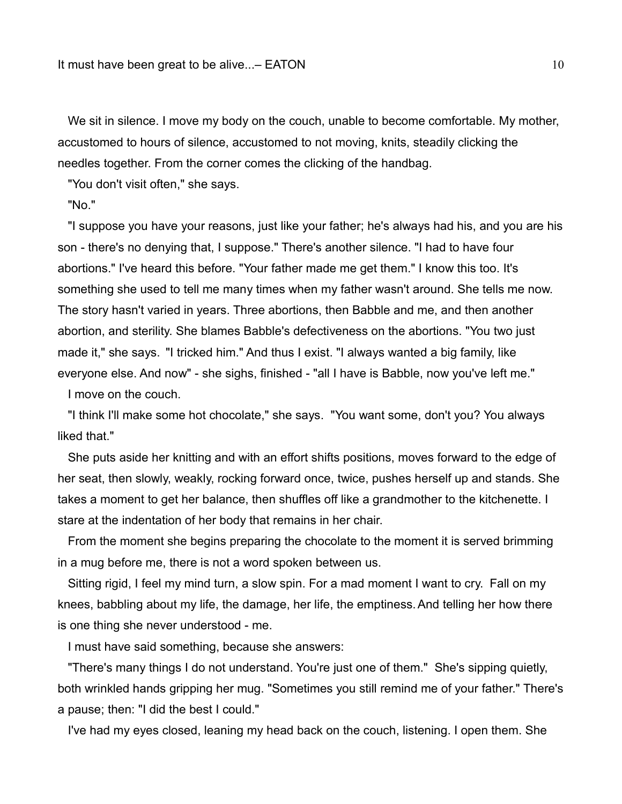We sit in silence. I move my body on the couch, unable to become comfortable. My mother, accustomed to hours of silence, accustomed to not moving, knits, steadily clicking the needles together. From the corner comes the clicking of the handbag.

"You don't visit often," she says.

"No."

 "I suppose you have your reasons, just like your father; he's always had his, and you are his son - there's no denying that, I suppose." There's another silence. "I had to have four abortions." I've heard this before. "Your father made me get them." I know this too. It's something she used to tell me many times when my father wasn't around. She tells me now. The story hasn't varied in years. Three abortions, then Babble and me, and then another abortion, and sterility. She blames Babble's defectiveness on the abortions. "You two just made it," she says. "I tricked him." And thus I exist. "I always wanted a big family, like everyone else. And now" - she sighs, finished - "all I have is Babble, now you've left me." I move on the couch.

 "I think I'll make some hot chocolate," she says. "You want some, don't you? You always liked that."

 She puts aside her knitting and with an effort shifts positions, moves forward to the edge of her seat, then slowly, weakly, rocking forward once, twice, pushes herself up and stands. She takes a moment to get her balance, then shuffles off like a grandmother to the kitchenette. I stare at the indentation of her body that remains in her chair.

 From the moment she begins preparing the chocolate to the moment it is served brimming in a mug before me, there is not a word spoken between us.

 Sitting rigid, I feel my mind turn, a slow spin. For a mad moment I want to cry. Fall on my knees, babbling about my life, the damage, her life, the emptiness.And telling her how there is one thing she never understood - me.

I must have said something, because she answers:

 "There's many things I do not understand. You're just one of them." She's sipping quietly, both wrinkled hands gripping her mug. "Sometimes you still remind me of your father." There's a pause; then: "I did the best I could."

I've had my eyes closed, leaning my head back on the couch, listening. I open them. She